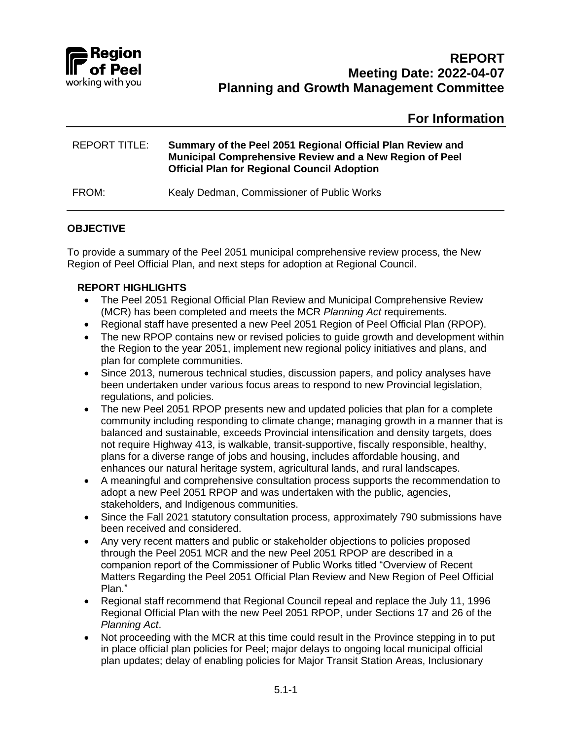

# **For Information**

| REPORT TITLE: | Summary of the Peel 2051 Regional Official Plan Review and<br>Municipal Comprehensive Review and a New Region of Peel<br><b>Official Plan for Regional Council Adoption</b> |
|---------------|-----------------------------------------------------------------------------------------------------------------------------------------------------------------------------|
| FROM:         | Kealy Dedman, Commissioner of Public Works                                                                                                                                  |

### **OBJECTIVE**

To provide a summary of the Peel 2051 municipal comprehensive review process, the New Region of Peel Official Plan, and next steps for adoption at Regional Council.

### **REPORT HIGHLIGHTS**

- The Peel 2051 Regional Official Plan Review and Municipal Comprehensive Review (MCR) has been completed and meets the MCR *Planning Act* requirements.
- Regional staff have presented a new Peel 2051 Region of Peel Official Plan (RPOP).
- The new RPOP contains new or revised policies to quide growth and development within the Region to the year 2051, implement new regional policy initiatives and plans, and plan for complete communities.
- Since 2013, numerous technical studies, discussion papers, and policy analyses have been undertaken under various focus areas to respond to new Provincial legislation, regulations, and policies.
- The new Peel 2051 RPOP presents new and updated policies that plan for a complete community including responding to climate change; managing growth in a manner that is balanced and sustainable, exceeds Provincial intensification and density targets, does not require Highway 413, is walkable, transit-supportive, fiscally responsible, healthy, plans for a diverse range of jobs and housing, includes affordable housing, and enhances our natural heritage system, agricultural lands, and rural landscapes.
- A meaningful and comprehensive consultation process supports the recommendation to adopt a new Peel 2051 RPOP and was undertaken with the public, agencies, stakeholders, and Indigenous communities.
- Since the Fall 2021 statutory consultation process, approximately 790 submissions have been received and considered.
- Any very recent matters and public or stakeholder objections to policies proposed through the Peel 2051 MCR and the new Peel 2051 RPOP are described in a companion report of the Commissioner of Public Works titled "Overview of Recent Matters Regarding the Peel 2051 Official Plan Review and New Region of Peel Official Plan."
- Regional staff recommend that Regional Council repeal and replace the July 11, 1996 Regional Official Plan with the new Peel 2051 RPOP, under Sections 17 and 26 of the *Planning Act*.
- Not proceeding with the MCR at this time could result in the Province stepping in to put in place official plan policies for Peel; major delays to ongoing local municipal official plan updates; delay of enabling policies for Major Transit Station Areas, Inclusionary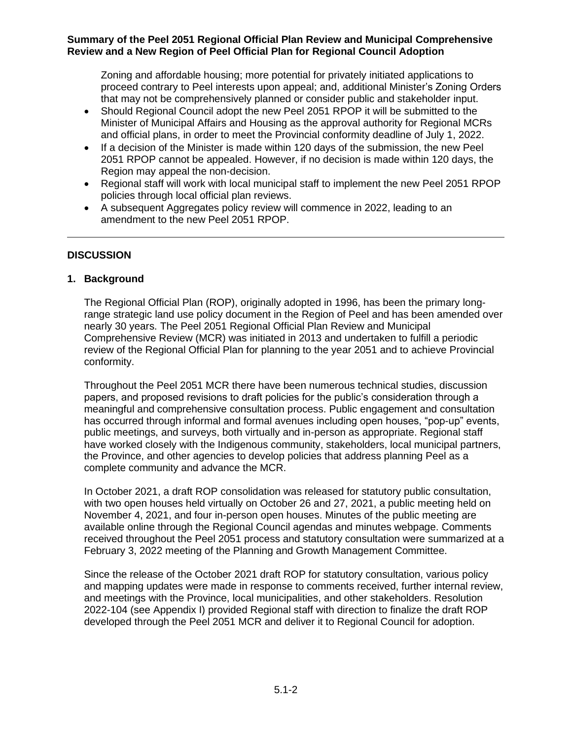Zoning and affordable housing; more potential for privately initiated applications to proceed contrary to Peel interests upon appeal; and, additional Minister's Zoning Orders that may not be comprehensively planned or consider public and stakeholder input.

- Should Regional Council adopt the new Peel 2051 RPOP it will be submitted to the Minister of Municipal Affairs and Housing as the approval authority for Regional MCRs and official plans, in order to meet the Provincial conformity deadline of July 1, 2022.
- If a decision of the Minister is made within 120 days of the submission, the new Peel 2051 RPOP cannot be appealed. However, if no decision is made within 120 days, the Region may appeal the non-decision.
- Regional staff will work with local municipal staff to implement the new Peel 2051 RPOP policies through local official plan reviews.
- A subsequent Aggregates policy review will commence in 2022, leading to an amendment to the new Peel 2051 RPOP.

### **DISCUSSION**

### **1. Background**

The Regional Official Plan (ROP), originally adopted in 1996, has been the primary longrange strategic land use policy document in the Region of Peel and has been amended over nearly 30 years. The Peel 2051 Regional Official Plan Review and Municipal Comprehensive Review (MCR) was initiated in 2013 and undertaken to fulfill a periodic review of the Regional Official Plan for planning to the year 2051 and to achieve Provincial conformity.

Throughout the Peel 2051 MCR there have been numerous technical studies, discussion papers, and proposed revisions to draft policies for the public's consideration through a meaningful and comprehensive consultation process. Public engagement and consultation has occurred through informal and formal avenues including open houses, "pop-up" events, public meetings, and surveys, both virtually and in-person as appropriate. Regional staff have worked closely with the Indigenous community, stakeholders, local municipal partners, the Province, and other agencies to develop policies that address planning Peel as a complete community and advance the MCR.

In October 2021, a draft ROP consolidation was released for statutory public consultation, with two open houses held virtually on October 26 and 27, 2021, a public meeting held on November 4, 2021, and four in-person open houses. Minutes of the public meeting are available online through the Regional Council agendas and minutes webpage. Comments received throughout the Peel 2051 process and statutory consultation were summarized at a February 3, 2022 meeting of the Planning and Growth Management Committee.

Since the release of the October 2021 draft ROP for statutory consultation, various policy and mapping updates were made in response to comments received, further internal review, and meetings with the Province, local municipalities, and other stakeholders. Resolution 2022-104 (see Appendix I) provided Regional staff with direction to finalize the draft ROP developed through the Peel 2051 MCR and deliver it to Regional Council for adoption.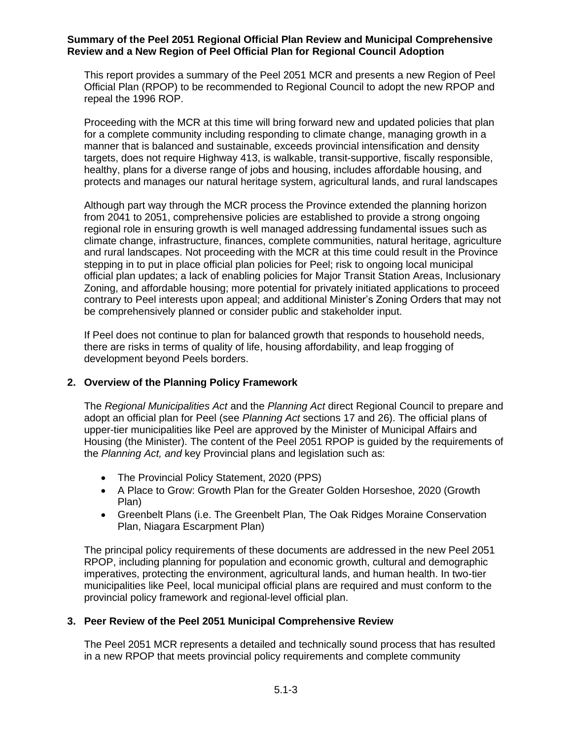This report provides a summary of the Peel 2051 MCR and presents a new Region of Peel Official Plan (RPOP) to be recommended to Regional Council to adopt the new RPOP and repeal the 1996 ROP.

Proceeding with the MCR at this time will bring forward new and updated policies that plan for a complete community including responding to climate change, managing growth in a manner that is balanced and sustainable, exceeds provincial intensification and density targets, does not require Highway 413, is walkable, transit-supportive, fiscally responsible, healthy, plans for a diverse range of jobs and housing, includes affordable housing, and protects and manages our natural heritage system, agricultural lands, and rural landscapes

Although part way through the MCR process the Province extended the planning horizon from 2041 to 2051, comprehensive policies are established to provide a strong ongoing regional role in ensuring growth is well managed addressing fundamental issues such as climate change, infrastructure, finances, complete communities, natural heritage, agriculture and rural landscapes. Not proceeding with the MCR at this time could result in the Province stepping in to put in place official plan policies for Peel; risk to ongoing local municipal official plan updates; a lack of enabling policies for Major Transit Station Areas, Inclusionary Zoning, and affordable housing; more potential for privately initiated applications to proceed contrary to Peel interests upon appeal; and additional Minister's Zoning Orders that may not be comprehensively planned or consider public and stakeholder input.

If Peel does not continue to plan for balanced growth that responds to household needs, there are risks in terms of quality of life, housing affordability, and leap frogging of development beyond Peels borders.

### **2. Overview of the Planning Policy Framework**

The *Regional Municipalities Act* and the *Planning Act* direct Regional Council to prepare and adopt an official plan for Peel (see *Planning Act* sections 17 and 26). The official plans of upper-tier municipalities like Peel are approved by the Minister of Municipal Affairs and Housing (the Minister). The content of the Peel 2051 RPOP is guided by the requirements of the *Planning Act, and* key Provincial plans and legislation such as:

- The Provincial Policy Statement, 2020 (PPS)
- A Place to Grow: Growth Plan for the Greater Golden Horseshoe, 2020 (Growth Plan)
- Greenbelt Plans (i.e. The Greenbelt Plan, The Oak Ridges Moraine Conservation Plan, Niagara Escarpment Plan)

The principal policy requirements of these documents are addressed in the new Peel 2051 RPOP, including planning for population and economic growth, cultural and demographic imperatives, protecting the environment, agricultural lands, and human health. In two-tier municipalities like Peel, local municipal official plans are required and must conform to the provincial policy framework and regional-level official plan.

### **3. Peer Review of the Peel 2051 Municipal Comprehensive Review**

The Peel 2051 MCR represents a detailed and technically sound process that has resulted in a new RPOP that meets provincial policy requirements and complete community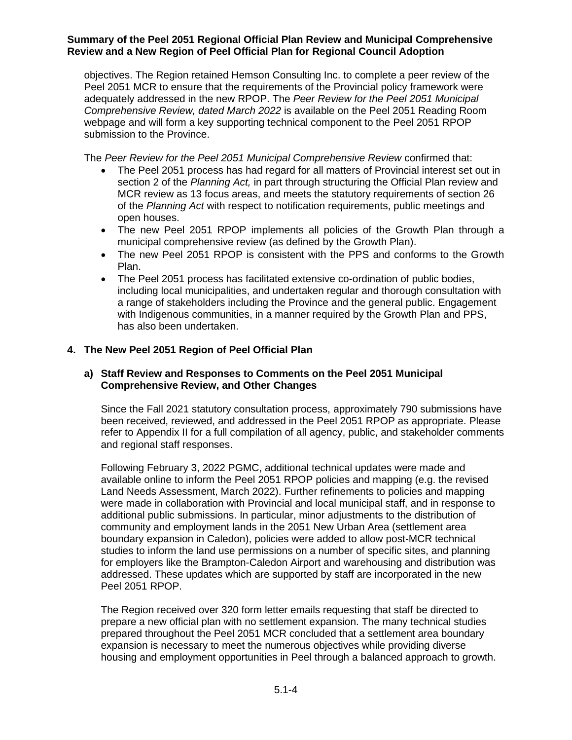objectives. The Region retained Hemson Consulting Inc. to complete a peer review of the Peel 2051 MCR to ensure that the requirements of the Provincial policy framework were adequately addressed in the new RPOP. The *Peer Review for the Peel 2051 Municipal Comprehensive Review, dated March 2022* is available on the Peel 2051 Reading Room webpage and will form a key supporting technical component to the Peel 2051 RPOP submission to the Province.

The *Peer Review for the Peel 2051 Municipal Comprehensive Review* confirmed that:

- The Peel 2051 process has had regard for all matters of Provincial interest set out in section 2 of the *Planning Act,* in part through structuring the Official Plan review and MCR review as 13 focus areas, and meets the statutory requirements of section 26 of the *Planning Act* with respect to notification requirements, public meetings and open houses.
- The new Peel 2051 RPOP implements all policies of the Growth Plan through a municipal comprehensive review (as defined by the Growth Plan).
- The new Peel 2051 RPOP is consistent with the PPS and conforms to the Growth Plan.
- The Peel 2051 process has facilitated extensive co-ordination of public bodies, including local municipalities, and undertaken regular and thorough consultation with a range of stakeholders including the Province and the general public. Engagement with Indigenous communities, in a manner required by the Growth Plan and PPS, has also been undertaken.

## **4. The New Peel 2051 Region of Peel Official Plan**

### **a) Staff Review and Responses to Comments on the Peel 2051 Municipal Comprehensive Review, and Other Changes**

Since the Fall 2021 statutory consultation process, approximately 790 submissions have been received, reviewed, and addressed in the Peel 2051 RPOP as appropriate. Please refer to Appendix II for a full compilation of all agency, public, and stakeholder comments and regional staff responses.

Following February 3, 2022 PGMC, additional technical updates were made and available online to inform the Peel 2051 RPOP policies and mapping (e.g. the revised Land Needs Assessment, March 2022). Further refinements to policies and mapping were made in collaboration with Provincial and local municipal staff, and in response to additional public submissions. In particular, minor adjustments to the distribution of community and employment lands in the 2051 New Urban Area (settlement area boundary expansion in Caledon), policies were added to allow post-MCR technical studies to inform the land use permissions on a number of specific sites, and planning for employers like the Brampton-Caledon Airport and warehousing and distribution was addressed. These updates which are supported by staff are incorporated in the new Peel 2051 RPOP.

The Region received over 320 form letter emails requesting that staff be directed to prepare a new official plan with no settlement expansion. The many technical studies prepared throughout the Peel 2051 MCR concluded that a settlement area boundary expansion is necessary to meet the numerous objectives while providing diverse housing and employment opportunities in Peel through a balanced approach to growth.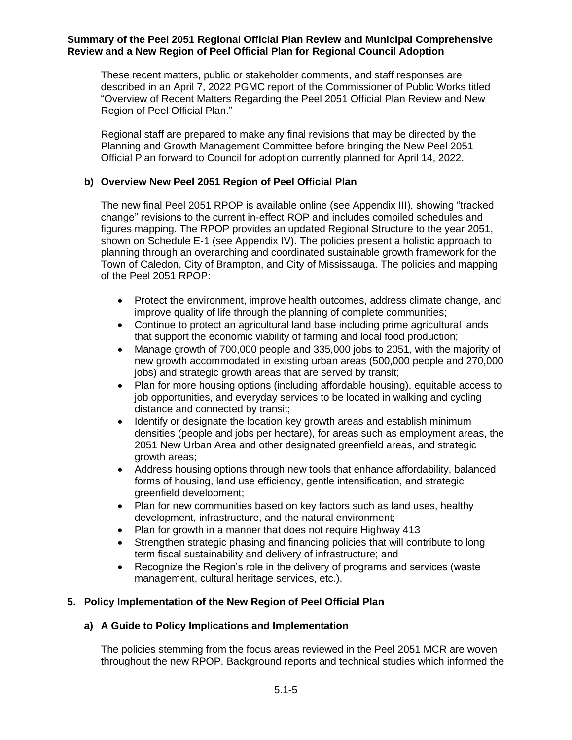These recent matters, public or stakeholder comments, and staff responses are described in an April 7, 2022 PGMC report of the Commissioner of Public Works titled "Overview of Recent Matters Regarding the Peel 2051 Official Plan Review and New Region of Peel Official Plan."

Regional staff are prepared to make any final revisions that may be directed by the Planning and Growth Management Committee before bringing the New Peel 2051 Official Plan forward to Council for adoption currently planned for April 14, 2022.

### **b) Overview New Peel 2051 Region of Peel Official Plan**

The new final Peel 2051 RPOP is available online (see Appendix III), showing "tracked change" revisions to the current in-effect ROP and includes compiled schedules and figures mapping. The RPOP provides an updated Regional Structure to the year 2051, shown on Schedule E-1 (see Appendix IV). The policies present a holistic approach to planning through an overarching and coordinated sustainable growth framework for the Town of Caledon, City of Brampton, and City of Mississauga. The policies and mapping of the Peel 2051 RPOP:

- Protect the environment, improve health outcomes, address climate change, and improve quality of life through the planning of complete communities;
- Continue to protect an agricultural land base including prime agricultural lands that support the economic viability of farming and local food production;
- Manage growth of 700,000 people and 335,000 jobs to 2051, with the majority of new growth accommodated in existing urban areas (500,000 people and 270,000 jobs) and strategic growth areas that are served by transit;
- Plan for more housing options (including affordable housing), equitable access to job opportunities, and everyday services to be located in walking and cycling distance and connected by transit;
- Identify or designate the location key growth areas and establish minimum densities (people and jobs per hectare), for areas such as employment areas, the 2051 New Urban Area and other designated greenfield areas, and strategic growth areas;
- Address housing options through new tools that enhance affordability, balanced forms of housing, land use efficiency, gentle intensification, and strategic greenfield development;
- Plan for new communities based on key factors such as land uses, healthy development, infrastructure, and the natural environment;
- Plan for growth in a manner that does not require Highway 413
- Strengthen strategic phasing and financing policies that will contribute to long term fiscal sustainability and delivery of infrastructure; and
- Recognize the Region's role in the delivery of programs and services (waste management, cultural heritage services, etc.).

# **5. Policy Implementation of the New Region of Peel Official Plan**

### **a) A Guide to Policy Implications and Implementation**

The policies stemming from the focus areas reviewed in the Peel 2051 MCR are woven throughout the new RPOP. Background reports and technical studies which informed the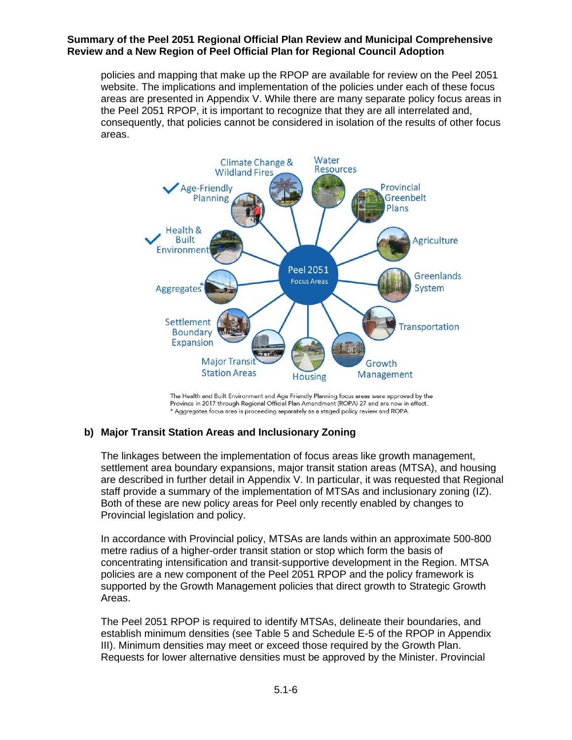policies and mapping that make up the RPOP are available for review on the Peel 2051 website. The implications and implementation of the policies under each of these focus areas are presented in Appendix V. While there are many separate policy focus areas in the Peel 2051 RPOP, it is important to recognize that they are all interrelated and, consequently, that policies cannot be considered in isolation of the results of other focus areas.



Province in 2017 through Regional Official Plan Amendment (ROPA) 27 and are now in effect. \* Aggregates focus area is proceeding separately as a staged policy review and ROPA.

# **b) Major Transit Station Areas and Inclusionary Zoning**

The linkages between the implementation of focus areas like growth management, settlement area boundary expansions, major transit station areas (MTSA), and housing are described in further detail in Appendix V. In particular, it was requested that Regional staff provide a summary of the implementation of MTSAs and inclusionary zoning (IZ). Both of these are new policy areas for Peel only recently enabled by changes to Provincial legislation and policy.

In accordance with Provincial policy, MTSAs are lands within an approximate 500-800 metre radius of a higher-order transit station or stop which form the basis of concentrating intensification and transit-supportive development in the Region. MTSA policies are a new component of the Peel 2051 RPOP and the policy framework is supported by the Growth Management policies that direct growth to Strategic Growth Areas.

The Peel 2051 RPOP is required to identify MTSAs, delineate their boundaries, and establish minimum densities (see Table 5 and Schedule E-5 of the RPOP in Appendix III). Minimum densities may meet or exceed those required by the Growth Plan. Requests for lower alternative densities must be approved by the Minister. Provincial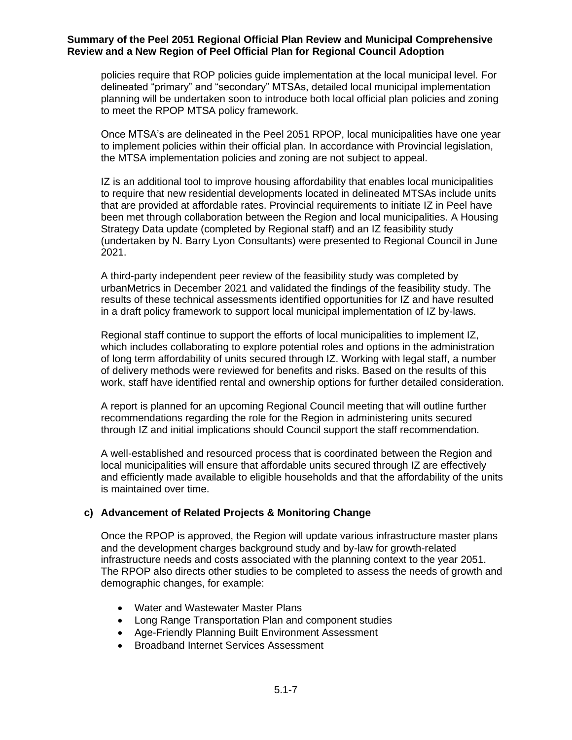policies require that ROP policies guide implementation at the local municipal level. For delineated "primary" and "secondary" MTSAs, detailed local municipal implementation planning will be undertaken soon to introduce both local official plan policies and zoning to meet the RPOP MTSA policy framework.

Once MTSA's are delineated in the Peel 2051 RPOP, local municipalities have one year to implement policies within their official plan. In accordance with Provincial legislation, the MTSA implementation policies and zoning are not subject to appeal.

IZ is an additional tool to improve housing affordability that enables local municipalities to require that new residential developments located in delineated MTSAs include units that are provided at affordable rates. Provincial requirements to initiate IZ in Peel have been met through collaboration between the Region and local municipalities. A Housing Strategy Data update (completed by Regional staff) and an IZ feasibility study (undertaken by N. Barry Lyon Consultants) were presented to Regional Council in June 2021.

A third-party independent peer review of the feasibility study was completed by urbanMetrics in December 2021 and validated the findings of the feasibility study. The results of these technical assessments identified opportunities for IZ and have resulted in a draft policy framework to support local municipal implementation of IZ by-laws.

Regional staff continue to support the efforts of local municipalities to implement IZ, which includes collaborating to explore potential roles and options in the administration of long term affordability of units secured through IZ. Working with legal staff, a number of delivery methods were reviewed for benefits and risks. Based on the results of this work, staff have identified rental and ownership options for further detailed consideration.

A report is planned for an upcoming Regional Council meeting that will outline further recommendations regarding the role for the Region in administering units secured through IZ and initial implications should Council support the staff recommendation.

A well-established and resourced process that is coordinated between the Region and local municipalities will ensure that affordable units secured through IZ are effectively and efficiently made available to eligible households and that the affordability of the units is maintained over time.

### **c) Advancement of Related Projects & Monitoring Change**

Once the RPOP is approved, the Region will update various infrastructure master plans and the development charges background study and by-law for growth-related infrastructure needs and costs associated with the planning context to the year 2051. The RPOP also directs other studies to be completed to assess the needs of growth and demographic changes, for example:

- Water and Wastewater Master Plans
- Long Range Transportation Plan and component studies
- Age-Friendly Planning Built Environment Assessment
- Broadband Internet Services Assessment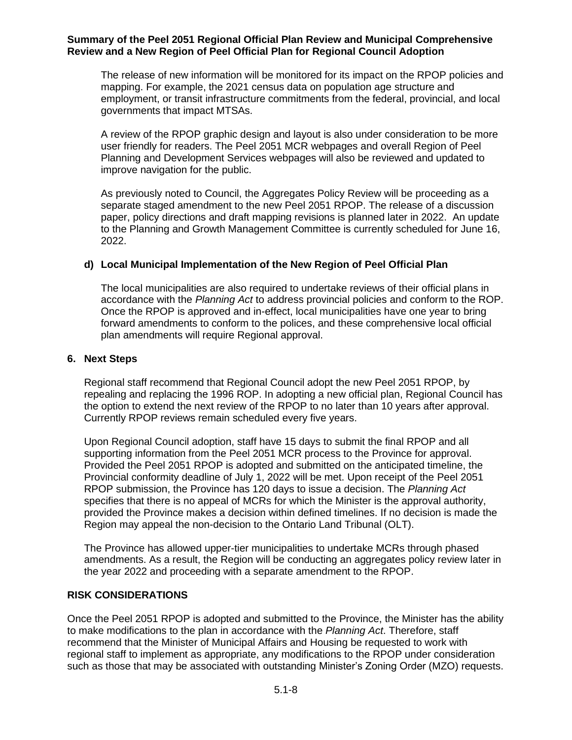The release of new information will be monitored for its impact on the RPOP policies and mapping. For example, the 2021 census data on population age structure and employment, or transit infrastructure commitments from the federal, provincial, and local governments that impact MTSAs.

A review of the RPOP graphic design and layout is also under consideration to be more user friendly for readers. The Peel 2051 MCR webpages and overall Region of Peel Planning and Development Services webpages will also be reviewed and updated to improve navigation for the public.

As previously noted to Council, the Aggregates Policy Review will be proceeding as a separate staged amendment to the new Peel 2051 RPOP. The release of a discussion paper, policy directions and draft mapping revisions is planned later in 2022. An update to the Planning and Growth Management Committee is currently scheduled for June 16, 2022.

### **d) Local Municipal Implementation of the New Region of Peel Official Plan**

The local municipalities are also required to undertake reviews of their official plans in accordance with the *Planning Act* to address provincial policies and conform to the ROP. Once the RPOP is approved and in-effect, local municipalities have one year to bring forward amendments to conform to the polices, and these comprehensive local official plan amendments will require Regional approval.

### **6. Next Steps**

Regional staff recommend that Regional Council adopt the new Peel 2051 RPOP, by repealing and replacing the 1996 ROP. In adopting a new official plan, Regional Council has the option to extend the next review of the RPOP to no later than 10 years after approval. Currently RPOP reviews remain scheduled every five years.

Upon Regional Council adoption, staff have 15 days to submit the final RPOP and all supporting information from the Peel 2051 MCR process to the Province for approval. Provided the Peel 2051 RPOP is adopted and submitted on the anticipated timeline, the Provincial conformity deadline of July 1, 2022 will be met. Upon receipt of the Peel 2051 RPOP submission, the Province has 120 days to issue a decision. The *Planning Act* specifies that there is no appeal of MCRs for which the Minister is the approval authority, provided the Province makes a decision within defined timelines. If no decision is made the Region may appeal the non-decision to the Ontario Land Tribunal (OLT).

The Province has allowed upper-tier municipalities to undertake MCRs through phased amendments. As a result, the Region will be conducting an aggregates policy review later in the year 2022 and proceeding with a separate amendment to the RPOP.

### **RISK CONSIDERATIONS**

Once the Peel 2051 RPOP is adopted and submitted to the Province, the Minister has the ability to make modifications to the plan in accordance with the *Planning Act*. Therefore, staff recommend that the Minister of Municipal Affairs and Housing be requested to work with regional staff to implement as appropriate, any modifications to the RPOP under consideration such as those that may be associated with outstanding Minister's Zoning Order (MZO) requests.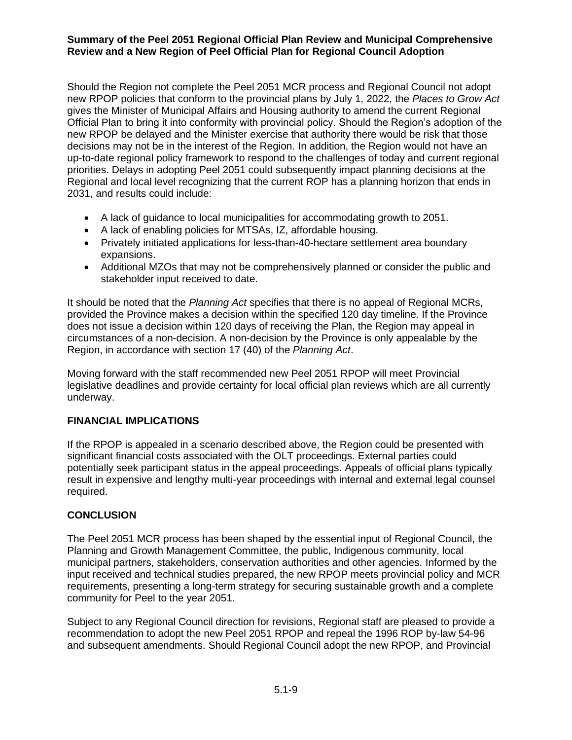Should the Region not complete the Peel 2051 MCR process and Regional Council not adopt new RPOP policies that conform to the provincial plans by July 1, 2022, the *Places to Grow Act* gives the Minister of Municipal Affairs and Housing authority to amend the current Regional Official Plan to bring it into conformity with provincial policy. Should the Region's adoption of the new RPOP be delayed and the Minister exercise that authority there would be risk that those decisions may not be in the interest of the Region. In addition, the Region would not have an up-to-date regional policy framework to respond to the challenges of today and current regional priorities. Delays in adopting Peel 2051 could subsequently impact planning decisions at the Regional and local level recognizing that the current ROP has a planning horizon that ends in 2031, and results could include:

- A lack of guidance to local municipalities for accommodating growth to 2051.
- A lack of enabling policies for MTSAs, IZ, affordable housing.
- Privately initiated applications for less-than-40-hectare settlement area boundary expansions.
- Additional MZOs that may not be comprehensively planned or consider the public and stakeholder input received to date.

It should be noted that the *Planning Act* specifies that there is no appeal of Regional MCRs, provided the Province makes a decision within the specified 120 day timeline. If the Province does not issue a decision within 120 days of receiving the Plan, the Region may appeal in circumstances of a non-decision. A non-decision by the Province is only appealable by the Region, in accordance with section 17 (40) of the *Planning Act*.

Moving forward with the staff recommended new Peel 2051 RPOP will meet Provincial legislative deadlines and provide certainty for local official plan reviews which are all currently underway.

# **FINANCIAL IMPLICATIONS**

If the RPOP is appealed in a scenario described above, the Region could be presented with significant financial costs associated with the OLT proceedings. External parties could potentially seek participant status in the appeal proceedings. Appeals of official plans typically result in expensive and lengthy multi-year proceedings with internal and external legal counsel required.

# **CONCLUSION**

The Peel 2051 MCR process has been shaped by the essential input of Regional Council, the Planning and Growth Management Committee, the public, Indigenous community, local municipal partners, stakeholders, conservation authorities and other agencies. Informed by the input received and technical studies prepared, the new RPOP meets provincial policy and MCR requirements, presenting a long-term strategy for securing sustainable growth and a complete community for Peel to the year 2051.

Subject to any Regional Council direction for revisions, Regional staff are pleased to provide a recommendation to adopt the new Peel 2051 RPOP and repeal the 1996 ROP by-law 54-96 and subsequent amendments. Should Regional Council adopt the new RPOP, and Provincial